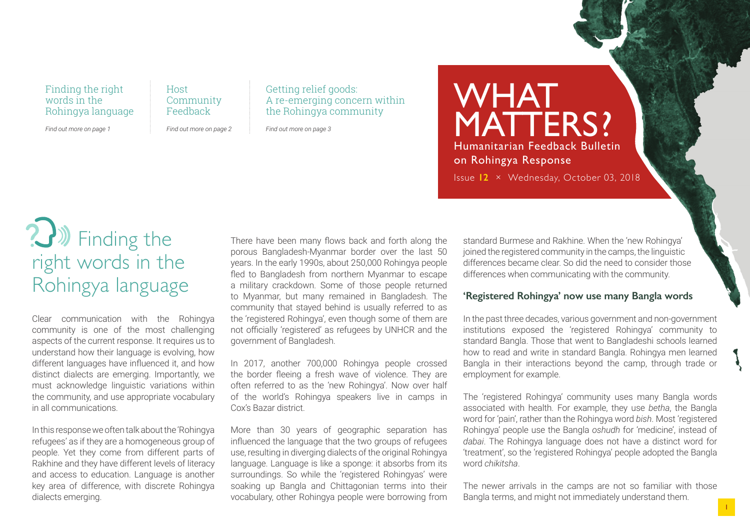### Finding the right words in the Rohingya language

*Find out more on page 1*

Host Community Feedback

*Find out more on page 2*

Getting relief goods: A re-emerging concern within the Rohingya community

*Find out more on page 3*

**WHAT** MATTERS? Humanitarian Feedback Bulletin on Rohingya Response Issue **12** × Wednesday, October 03, 2018

# **3** Finding the right words in the Rohingya language

Clear communication with the Rohingya community is one of the most challenging aspects of the current response. It requires us to understand how their language is evolving, how different languages have influenced it, and how distinct dialects are emerging. Importantly, we must acknowledge linguistic variations within the community, and use appropriate vocabulary in all communications.

In this response we often talk about the 'Rohingya refugees' as if they are a homogeneous group of people. Yet they come from different parts of Rakhine and they have different levels of literacy and access to education. Language is another key area of difference, with discrete Rohingya dialects emerging.

There have been many flows back and forth along the porous Bangladesh-Myanmar border over the last 50 years. In the early 1990s, about 250,000 Rohingya people fled to Bangladesh from northern Myanmar to escape a military crackdown. Some of those people returned to Myanmar, but many remained in Bangladesh. The community that stayed behind is usually referred to as the 'registered Rohingya', even though some of them are not officially 'registered' as refugees by UNHCR and the government of Bangladesh.

In 2017, another 700,000 Rohingya people crossed the border fleeing a fresh wave of violence. They are often referred to as the 'new Rohingya'. Now over half of the world's Rohingya speakers live in camps in Cox's Bazar district.

More than 30 years of geographic separation has influenced the language that the two groups of refugees use, resulting in diverging dialects of the original Rohingya language. Language is like a sponge: it absorbs from its surroundings. So while the 'registered Rohingyas' were soaking up Bangla and Chittagonian terms into their vocabulary, other Rohingya people were borrowing from standard Burmese and Rakhine. When the 'new Rohingya' joined the registered community in the camps, the linguistic differences became clear. So did the need to consider those differences when communicating with the community.

### **'Registered Rohingya' now use many Bangla words**

In the past three decades, various government and non-government institutions exposed the 'registered Rohingya' community to standard Bangla. Those that went to Bangladeshi schools learned how to read and write in standard Bangla. Rohingya men learned Bangla in their interactions beyond the camp, through trade or employment for example.

The 'registered Rohingya' community uses many Bangla words associated with health. For example, they use *betha*, the Bangla word for 'pain', rather than the Rohingya word *bish*. Most 'registered Rohingya' people use the Bangla *oshudh* for 'medicine', instead of *dabai*. The Rohingya language does not have a distinct word for 'treatment', so the 'registered Rohingya' people adopted the Bangla word *chikitsha*.

The newer arrivals in the camps are not so familiar with those Bangla terms, and might not immediately understand them.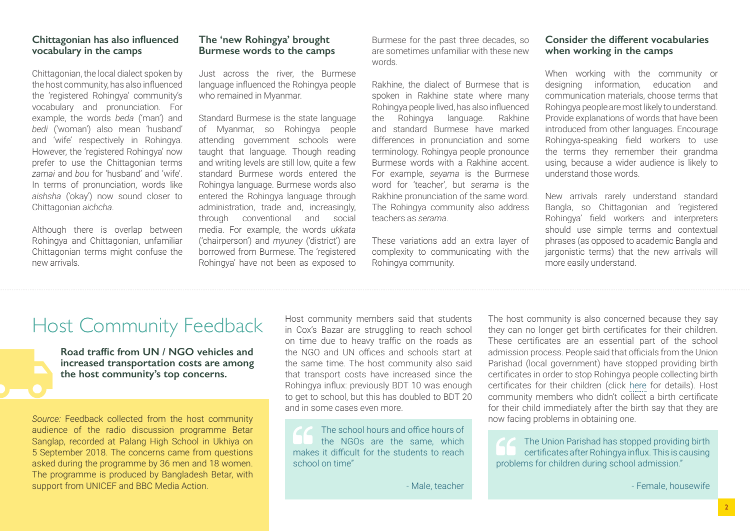### **Chittagonian has also influenced vocabulary in the camps**

Chittagonian, the local dialect spoken by the host community, has also influenced the 'registered Rohingya' community's vocabulary and pronunciation. For example, the words *beda* ('man') and *bedi* ('woman') also mean 'husband' and 'wife' respectively in Rohingya. However, the 'registered Rohingya' now prefer to use the Chittagonian terms *zamai* and *bou* for 'husband' and 'wife'. In terms of pronunciation, words like *aishsha* ('okay') now sound closer to Chittagonian *aichcha*.

Although there is overlap between Rohingya and Chittagonian, unfamiliar Chittagonian terms might confuse the new arrivals.

### **The 'new Rohingya' brought Burmese words to the camps**

Just across the river, the Burmese language influenced the Rohingya people who remained in Myanmar.

Standard Burmese is the state language of Myanmar, so Rohingya people attending government schools were taught that language. Though reading and writing levels are still low, quite a few standard Burmese words entered the Rohingya language. Burmese words also entered the Rohingya language through administration, trade and, increasingly, through conventional and social media. For example, the words *ukkata* ('chairperson') and *myuney* ('district') are borrowed from Burmese. The 'registered Rohingya' have not been as exposed to

Burmese for the past three decades, so are sometimes unfamiliar with these new words.

Rakhine, the dialect of Burmese that is spoken in Rakhine state where many Rohingya people lived, has also influenced the Rohingya language. Rakhine and standard Burmese have marked differences in pronunciation and some terminology. Rohingya people pronounce Burmese words with a Rakhine accent. For example, *seyama* is the Burmese word for 'teacher', but *serama* is the Rakhine pronunciation of the same word. The Rohingya community also address teachers as *serama*.

These variations add an extra layer of complexity to communicating with the Rohingya community.

### **Consider the different vocabularies when working in the camps**

When working with the community or designing information, education and communication materials, choose terms that Rohingya people are most likely to understand. Provide explanations of words that have been introduced from other languages. Encourage Rohingya-speaking field workers to use the terms they remember their grandma using, because a wider audience is likely to understand those words.

New arrivals rarely understand standard Bangla, so Chittagonian and 'registered Rohingya' field workers and interpreters should use simple terms and contextual phrases (as opposed to academic Bangla and jargonistic terms) that the new arrivals will more easily understand.

### Host Community Feedback

**Road traffic from UN / NGO vehicles and increased transportation costs are among the host community's top concerns.**

*Source:* Feedback collected from the host community audience of the radio discussion programme Betar Sanglap, recorded at Palang High School in Ukhiya on 5 September 2018. The concerns came from questions asked during the programme by 36 men and 18 women. The programme is produced by Bangladesh Betar, with support from UNICEF and BBC Media Action.

Host community members said that students in Cox's Bazar are struggling to reach school on time due to heavy traffic on the roads as the NGO and UN offices and schools start at the same time. The host community also said that transport costs have increased since the Rohingya influx: previously BDT 10 was enough to get to school, but this has doubled to BDT 20 and in some cases even more.

The school hours and office hours of the NGOs are the same, which makes it difficult for the students to reach school on time"

- Male, teacher

The host community is also concerned because they say they can no longer get birth certificates for their children. These certificates are an essential part of the school admission process. People said that officials from the Union Parishad (local government) have stopped providing birth certificates in order to stop Rohingya people collecting birth certificates for their children (click [here](https://app.box.com/s/rdhuol4sjjhu5fns046zrzola7lk1ur3) for details). Host community members who didn't collect a birth certificate for their child immediately after the birth say that they are now facing problems in obtaining one.

The Union Parishad has stopped providing birth certificates after Rohingya influx. This is causing problems for children during school admission."

- Female, housewife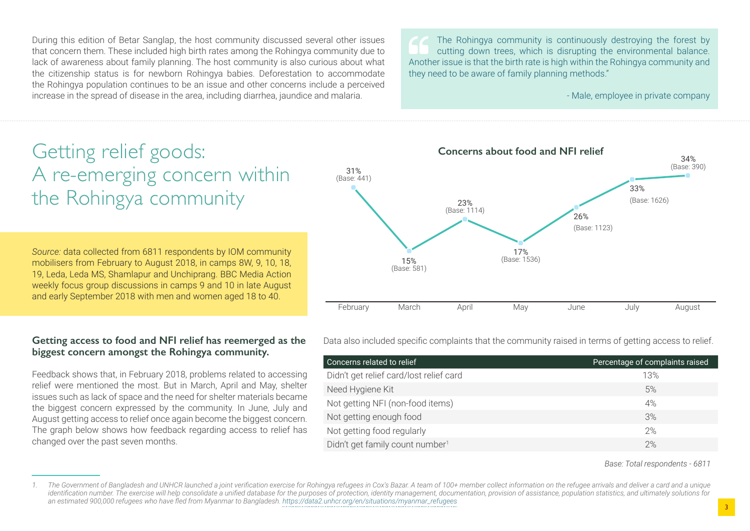During this edition of Betar Sanglap, the host community discussed several other issues that concern them. These included high birth rates among the Rohingya community due to lack of awareness about family planning. The host community is also curious about what the citizenship status is for newborn Rohingya babies. Deforestation to accommodate the Rohingya population continues to be an issue and other concerns include a perceived increase in the spread of disease in the area, including diarrhea, jaundice and malaria.

The Rohingya community is continuously destroying the forest by cutting down trees, which is disrupting the environmental balance. Another issue is that the birth rate is high within the Rohingya community and they need to be aware of family planning methods."

- Male, employee in private company

## Getting relief goods: A re-emerging concern within the Rohingya community

*Source:* data collected from 6811 respondents by IOM community mobilisers from February to August 2018, in camps 8W, 9, 10, 18, 19, Leda, Leda MS, Shamlapur and Unchiprang. BBC Media Action weekly focus group discussions in camps 9 and 10 in late August and early September 2018 with men and women aged 18 to 40.

### **Getting access to food and NFI relief has reemerged as the biggest concern amongst the Rohingya community.**

Feedback shows that, in February 2018, problems related to accessing relief were mentioned the most. But in March, April and May, shelter issues such as lack of space and the need for shelter materials became the biggest concern expressed by the community. In June, July and August getting access to relief once again become the biggest concern. The graph below shows how feedback regarding access to relief has changed over the past seven months.



Data also included specific complaints that the community raised in terms of getting access to relief.

| Concerns related to relief                  | Percentage of complaints raised |
|---------------------------------------------|---------------------------------|
| Didn't get relief card/lost relief card     | 13%                             |
| Need Hygiene Kit                            | 5%                              |
| Not getting NFI (non-food items)            | 4%                              |
| Not getting enough food                     | 3%                              |
| Not getting food regularly                  | 2%                              |
| Didn't get family count number <sup>1</sup> | 2%                              |

*Base: Total respondents - 6811*

<sup>1.</sup> The Government of Bangladesh and UNHCR launched a joint verification exercise for Rohingya refugees in Cox's Bazar. A team of 100+ member collect information on the refugee arrivals and deliver a card and a unique identification number. The exercise will help consolidate a unified database for the purposes of protection, identity management, documentation, provision of assistance, population statistics, and ultimately solutions for *an estimated 900,000 refugees who have fled from Myanmar to Bangladesh. [https://data2.unhcr.org/en/situations/myanmar\\_refugees](https://data2.unhcr.org/en/situations/myanmar_refugees)*